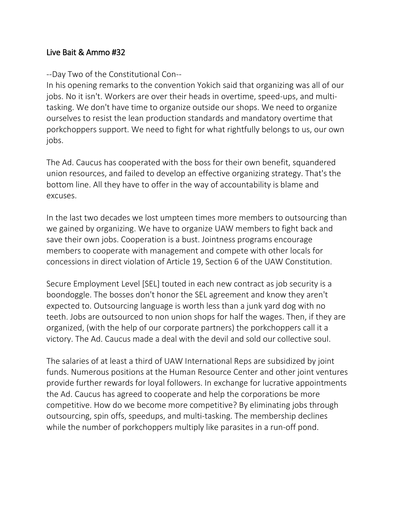## Live Bait & Ammo #32

## --Day Two of the Constitutional Con--

In his opening remarks to the convention Yokich said that organizing was all of our jobs. No it isn't. Workers are over their heads in overtime, speed-ups, and multitasking. We don't have time to organize outside our shops. We need to organize ourselves to resist the lean production standards and mandatory overtime that porkchoppers support. We need to fight for what rightfully belongs to us, our own jobs.

The Ad. Caucus has cooperated with the boss for their own benefit, squandered union resources, and failed to develop an effective organizing strategy. That's the bottom line. All they have to offer in the way of accountability is blame and excuses.

In the last two decades we lost umpteen times more members to outsourcing than we gained by organizing. We have to organize UAW members to fight back and save their own jobs. Cooperation is a bust. Jointness programs encourage members to cooperate with management and compete with other locals for concessions in direct violation of Article 19, Section 6 of the UAW Constitution.

Secure Employment Level [SEL] touted in each new contract as job security is a boondoggle. The bosses don't honor the SEL agreement and know they aren't expected to. Outsourcing language is worth less than a junk yard dog with no teeth. Jobs are outsourced to non union shops for half the wages. Then, if they are organized, (with the help of our corporate partners) the porkchoppers call it a victory. The Ad. Caucus made a deal with the devil and sold our collective soul.

The salaries of at least a third of UAW International Reps are subsidized by joint funds. Numerous positions at the Human Resource Center and other joint ventures provide further rewards for loyal followers. In exchange for lucrative appointments the Ad. Caucus has agreed to cooperate and help the corporations be more competitive. How do we become more competitive? By eliminating jobs through outsourcing, spin offs, speedups, and multi-tasking. The membership declines while the number of porkchoppers multiply like parasites in a run-off pond.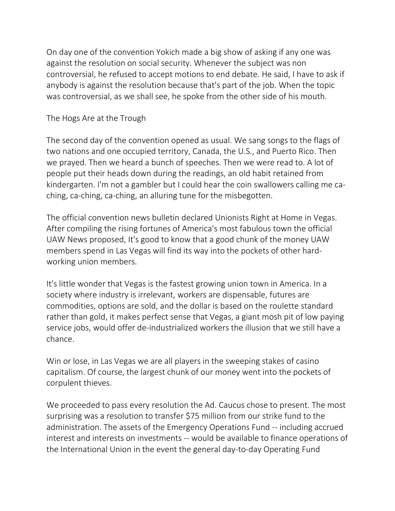On day one of the convention Yokich made a big show of asking if any one was against the resolution on social security. Whenever the subject was non controversial, he refused to accept motions to end debate. He said, I have to ask if anybody is against the resolution because that's part of the job. When the topic was controversial, as we shall see, he spoke from the other side of his mouth.

## The Hogs Are at the Trough

The second day of the convention opened as usual. We sang songs to the flags of two nations and one occupied territory, Canada, the U.S., and Puerto Rico. Then we prayed. Then we heard a bunch of speeches. Then we were read to. A lot of people put their heads down during the readings, an old habit retained from kindergarten. I'm not a gambler but I could hear the coin swallowers calling me caching, ca-ching, ca-ching, an alluring tune for the misbegotten.

The official convention news bulletin declared Unionists Right at Home in Vegas. After compiling the rising fortunes of America's most fabulous town the official UAW News proposed, It's good to know that a good chunk of the money UAW members spend in Las Vegas will find its way into the pockets of other hardworking union members.

It's little wonder that Vegas is the fastest growing union town in America. In a society where industry is irrelevant, workers are dispensable, futures are commodities, options are sold, and the dollar is based on the roulette standard rather than gold, it makes perfect sense that Vegas, a giant mosh pit of low paying service jobs, would offer de-industrialized workers the illusion that we still have a chance.

Win or lose, in Las Vegas we are all players in the sweeping stakes of casino capitalism. Of course, the largest chunk of our money went into the pockets of corpulent thieves.

We proceeded to pass every resolution the Ad. Caucus chose to present. The most surprising was a resolution to transfer \$75 million from our strike fund to the administration. The assets of the Emergency Operations Fund -- including accrued interest and interests on investments -- would be available to finance operations of the International Union in the event the general day-to-day Operating Fund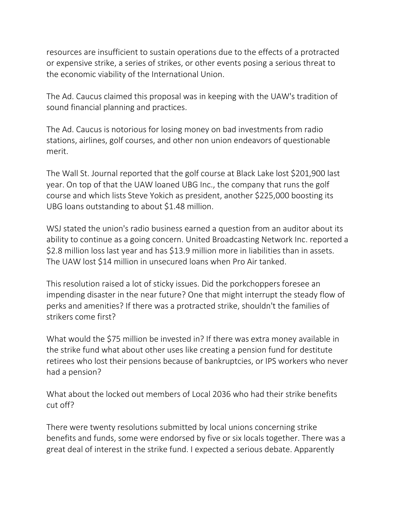resources are insufficient to sustain operations due to the effects of a protracted or expensive strike, a series of strikes, or other events posing a serious threat to the economic viability of the International Union.

The Ad. Caucus claimed this proposal was in keeping with the UAW's tradition of sound financial planning and practices.

The Ad. Caucus is notorious for losing money on bad investments from radio stations, airlines, golf courses, and other non union endeavors of questionable merit.

The Wall St. Journal reported that the golf course at Black Lake lost \$201,900 last year. On top of that the UAW loaned UBG Inc., the company that runs the golf course and which lists Steve Yokich as president, another \$225,000 boosting its UBG loans outstanding to about \$1.48 million.

WSJ stated the union's radio business earned a question from an auditor about its ability to continue as a going concern. United Broadcasting Network Inc. reported a \$2.8 million loss last year and has \$13.9 million more in liabilities than in assets. The UAW lost \$14 million in unsecured loans when Pro Air tanked.

This resolution raised a lot of sticky issues. Did the porkchoppers foresee an impending disaster in the near future? One that might interrupt the steady flow of perks and amenities? If there was a protracted strike, shouldn't the families of strikers come first?

What would the \$75 million be invested in? If there was extra money available in the strike fund what about other uses like creating a pension fund for destitute retirees who lost their pensions because of bankruptcies, or IPS workers who never had a pension?

What about the locked out members of Local 2036 who had their strike benefits cut off?

There were twenty resolutions submitted by local unions concerning strike benefits and funds, some were endorsed by five or six locals together. There was a great deal of interest in the strike fund. I expected a serious debate. Apparently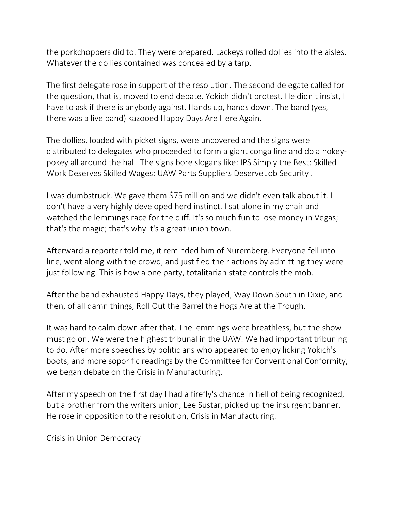the porkchoppers did to. They were prepared. Lackeys rolled dollies into the aisles. Whatever the dollies contained was concealed by a tarp.

The first delegate rose in support of the resolution. The second delegate called for the question, that is, moved to end debate. Yokich didn't protest. He didn't insist, I have to ask if there is anybody against. Hands up, hands down. The band (yes, there was a live band) kazooed Happy Days Are Here Again.

The dollies, loaded with picket signs, were uncovered and the signs were distributed to delegates who proceeded to form a giant conga line and do a hokeypokey all around the hall. The signs bore slogans like: IPS Simply the Best: Skilled Work Deserves Skilled Wages: UAW Parts Suppliers Deserve Job Security .

I was dumbstruck. We gave them \$75 million and we didn't even talk about it. I don't have a very highly developed herd instinct. I sat alone in my chair and watched the lemmings race for the cliff. It's so much fun to lose money in Vegas; that's the magic; that's why it's a great union town.

Afterward a reporter told me, it reminded him of Nuremberg. Everyone fell into line, went along with the crowd, and justified their actions by admitting they were just following. This is how a one party, totalitarian state controls the mob.

After the band exhausted Happy Days, they played, Way Down South in Dixie, and then, of all damn things, Roll Out the Barrel the Hogs Are at the Trough.

It was hard to calm down after that. The lemmings were breathless, but the show must go on. We were the highest tribunal in the UAW. We had important tribuning to do. After more speeches by politicians who appeared to enjoy licking Yokich's boots, and more soporific readings by the Committee for Conventional Conformity, we began debate on the Crisis in Manufacturing.

After my speech on the first day I had a firefly's chance in hell of being recognized, but a brother from the writers union, Lee Sustar, picked up the insurgent banner. He rose in opposition to the resolution, Crisis in Manufacturing.

Crisis in Union Democracy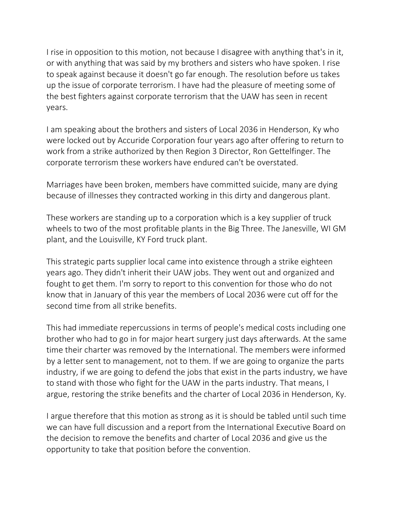I rise in opposition to this motion, not because I disagree with anything that's in it, or with anything that was said by my brothers and sisters who have spoken. I rise to speak against because it doesn't go far enough. The resolution before us takes up the issue of corporate terrorism. I have had the pleasure of meeting some of the best fighters against corporate terrorism that the UAW has seen in recent years.

I am speaking about the brothers and sisters of Local 2036 in Henderson, Ky who were locked out by Accuride Corporation four years ago after offering to return to work from a strike authorized by then Region 3 Director, Ron Gettelfinger. The corporate terrorism these workers have endured can't be overstated.

Marriages have been broken, members have committed suicide, many are dying because of illnesses they contracted working in this dirty and dangerous plant.

These workers are standing up to a corporation which is a key supplier of truck wheels to two of the most profitable plants in the Big Three. The Janesville, WI GM plant, and the Louisville, KY Ford truck plant.

This strategic parts supplier local came into existence through a strike eighteen years ago. They didn't inherit their UAW jobs. They went out and organized and fought to get them. I'm sorry to report to this convention for those who do not know that in January of this year the members of Local 2036 were cut off for the second time from all strike benefits.

This had immediate repercussions in terms of people's medical costs including one brother who had to go in for major heart surgery just days afterwards. At the same time their charter was removed by the International. The members were informed by a letter sent to management, not to them. If we are going to organize the parts industry, if we are going to defend the jobs that exist in the parts industry, we have to stand with those who fight for the UAW in the parts industry. That means, I argue, restoring the strike benefits and the charter of Local 2036 in Henderson, Ky.

I argue therefore that this motion as strong as it is should be tabled until such time we can have full discussion and a report from the International Executive Board on the decision to remove the benefits and charter of Local 2036 and give us the opportunity to take that position before the convention.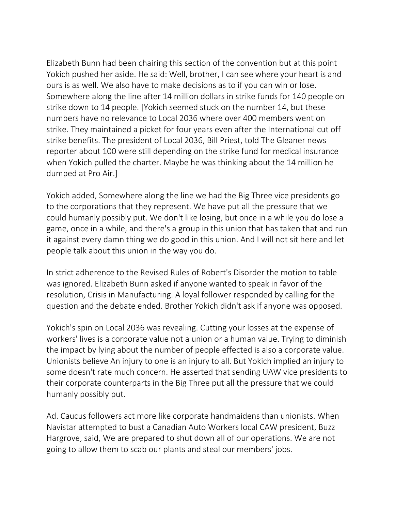Elizabeth Bunn had been chairing this section of the convention but at this point Yokich pushed her aside. He said: Well, brother, I can see where your heart is and ours is as well. We also have to make decisions as to if you can win or lose. Somewhere along the line after 14 million dollars in strike funds for 140 people on strike down to 14 people. [Yokich seemed stuck on the number 14, but these numbers have no relevance to Local 2036 where over 400 members went on strike. They maintained a picket for four years even after the International cut off strike benefits. The president of Local 2036, Bill Priest, told The Gleaner news reporter about 100 were still depending on the strike fund for medical insurance when Yokich pulled the charter. Maybe he was thinking about the 14 million he dumped at Pro Air.]

Yokich added, Somewhere along the line we had the Big Three vice presidents go to the corporations that they represent. We have put all the pressure that we could humanly possibly put. We don't like losing, but once in a while you do lose a game, once in a while, and there's a group in this union that has taken that and run it against every damn thing we do good in this union. And I will not sit here and let people talk about this union in the way you do.

In strict adherence to the Revised Rules of Robert's Disorder the motion to table was ignored. Elizabeth Bunn asked if anyone wanted to speak in favor of the resolution, Crisis in Manufacturing. A loyal follower responded by calling for the question and the debate ended. Brother Yokich didn't ask if anyone was opposed.

Yokich's spin on Local 2036 was revealing. Cutting your losses at the expense of workers' lives is a corporate value not a union or a human value. Trying to diminish the impact by lying about the number of people effected is also a corporate value. Unionists believe An injury to one is an injury to all. But Yokich implied an injury to some doesn't rate much concern. He asserted that sending UAW vice presidents to their corporate counterparts in the Big Three put all the pressure that we could humanly possibly put.

Ad. Caucus followers act more like corporate handmaidens than unionists. When Navistar attempted to bust a Canadian Auto Workers local CAW president, Buzz Hargrove, said, We are prepared to shut down all of our operations. We are not going to allow them to scab our plants and steal our members' jobs.